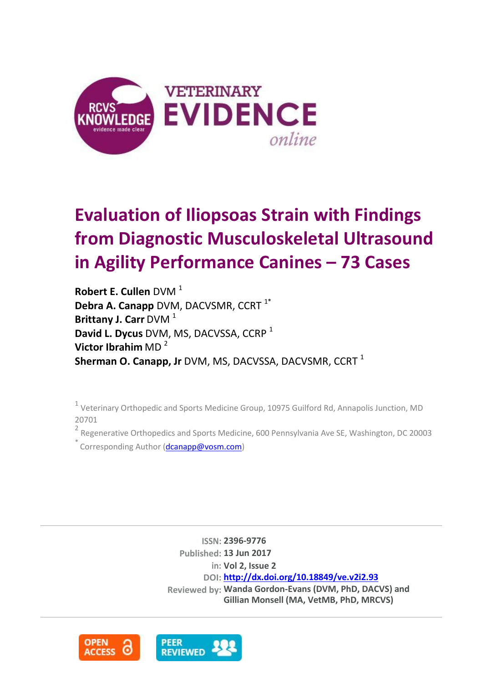

# **Evaluation of Iliopsoas Strain with Findings from Diagnostic Musculoskeletal Ultrasound in Agility Performance Canines – 73 Cases**

**Robert E. Cullen** DVM<sup>1</sup> **Debra A. Canapp** DVM, DACVSMR, CCRT<sup>1\*</sup> **Brittany J. Carr** DVM<sup>1</sup> **David L. Dycus** DVM, MS, DACVSSA, CCRP <sup>1</sup> **Victor Ibrahim** MD <sup>2</sup> **Sherman O. Canapp, Jr** DVM, MS, DACVSSA, DACVSMR, CCRT<sup>1</sup>

 $1$  Veterinary Orthopedic and Sports Medicine Group, 10975 Guilford Rd, Annapolis Junction, MD 20701

<sup>2</sup> Regenerative Orthopedics and Sports Medicine, 600 Pennsylvania Ave SE, Washington, DC 20003

Corresponding Author [\(dcanapp@vosm.com\)](mailto:dcanapp@vosm.com)

**ISSN: 2396-9776 Published: 13 Jun 2017 in: Vol 2, Issue 2 DOI: <http://dx.doi.org/10.18849/ve.v2i2.93> Reviewed by: Wanda Gordon-Evans (DVM, PhD, DACVS) and Gillian Monsell (MA, VetMB, PhD, MRCVS)**

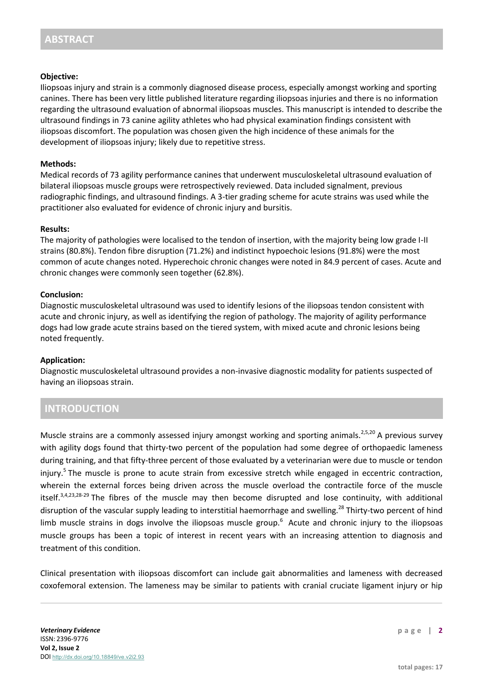### **Objective:**

Iliopsoas injury and strain is a commonly diagnosed disease process, especially amongst working and sporting canines. There has been very little published literature regarding iliopsoas injuries and there is no information regarding the ultrasound evaluation of abnormal iliopsoas muscles. This manuscript is intended to describe the ultrasound findings in 73 canine agility athletes who had physical examination findings consistent with iliopsoas discomfort. The population was chosen given the high incidence of these animals for the development of iliopsoas injury; likely due to repetitive stress.

### **Methods:**

Medical records of 73 agility performance canines that underwent musculoskeletal ultrasound evaluation of bilateral iliopsoas muscle groups were retrospectively reviewed. Data included signalment, previous radiographic findings, and ultrasound findings. A 3-tier grading scheme for acute strains was used while the practitioner also evaluated for evidence of chronic injury and bursitis.

#### **Results:**

The majority of pathologies were localised to the tendon of insertion, with the majority being low grade I-II strains (80.8%). Tendon fibre disruption (71.2%) and indistinct hypoechoic lesions (91.8%) were the most common of acute changes noted. Hyperechoic chronic changes were noted in 84.9 percent of cases. Acute and chronic changes were commonly seen together (62.8%).

## **Conclusion:**

Diagnostic musculoskeletal ultrasound was used to identify lesions of the iliopsoas tendon consistent with acute and chronic injury, as well as identifying the region of pathology. The majority of agility performance dogs had low grade acute strains based on the tiered system, with mixed acute and chronic lesions being noted frequently.

#### **Application:**

Diagnostic musculoskeletal ultrasound provides a non-invasive diagnostic modality for patients suspected of having an iliopsoas strain.

# **INTRODUCTION**

Muscle strains are a commonly assessed injury amongst working and sporting animals.<sup>2,5,20</sup> A previous survey with agility dogs found that thirty-two percent of the population had some degree of orthopaedic lameness during training, and that fifty-three percent of those evaluated by a veterinarian were due to muscle or tendon injury.<sup>5</sup> The muscle is prone to acute strain from excessive stretch while engaged in eccentric contraction, wherein the external forces being driven across the muscle overload the contractile force of the muscle itself.<sup>3,4,23,28-29</sup> The fibres of the muscle may then become disrupted and lose continuity, with additional disruption of the vascular supply leading to interstitial haemorrhage and swelling.<sup>28</sup> Thirty-two percent of hind limb muscle strains in dogs involve the iliopsoas muscle group.<sup>6</sup> Acute and chronic injury to the iliopsoas muscle groups has been a topic of interest in recent years with an increasing attention to diagnosis and treatment of this condition.

Clinical presentation with iliopsoas discomfort can include gait abnormalities and lameness with decreased coxofemoral extension. The lameness may be similar to patients with cranial cruciate ligament injury or hip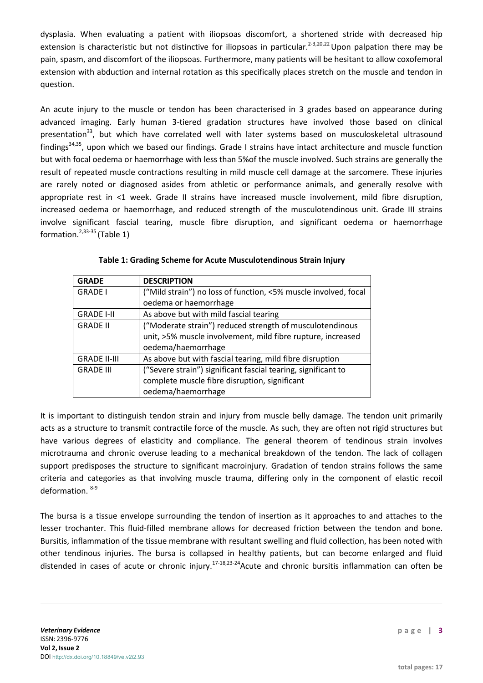dysplasia. When evaluating a patient with iliopsoas discomfort, a shortened stride with decreased hip extension is characteristic but not distinctive for iliopsoas in particular.<sup>2-3,20,22</sup> Upon palpation there may be pain, spasm, and discomfort of the iliopsoas. Furthermore, many patients will be hesitant to allow coxofemoral extension with abduction and internal rotation as this specifically places stretch on the muscle and tendon in question.

An acute injury to the muscle or tendon has been characterised in 3 grades based on appearance during advanced imaging. Early human 3-tiered gradation structures have involved those based on clinical presentation<sup>33</sup>, but which have correlated well with later systems based on musculoskeletal ultrasound findings34,35, upon which we based our findings. Grade I strains have intact architecture and muscle function but with focal oedema or haemorrhage with less than 5%of the muscle involved. Such strains are generally the result of repeated muscle contractions resulting in mild muscle cell damage at the sarcomere. These injuries are rarely noted or diagnosed asides from athletic or performance animals, and generally resolve with appropriate rest in <1 week. Grade II strains have increased muscle involvement, mild fibre disruption, increased oedema or haemorrhage, and reduced strength of the musculotendinous unit. Grade III strains involve significant fascial tearing, muscle fibre disruption, and significant oedema or haemorrhage formation. $2,33-35$  (Table 1)

| <b>GRADE</b>        | <b>DESCRIPTION</b>                                              |
|---------------------|-----------------------------------------------------------------|
| <b>GRADE I</b>      | ("Mild strain") no loss of function, <5% muscle involved, focal |
|                     | oedema or haemorrhage                                           |
| <b>GRADE I-II</b>   | As above but with mild fascial tearing                          |
| <b>GRADE II</b>     | ("Moderate strain") reduced strength of musculotendinous        |
|                     | unit, >5% muscle involvement, mild fibre rupture, increased     |
|                     | oedema/haemorrhage                                              |
| <b>GRADE II-III</b> | As above but with fascial tearing, mild fibre disruption        |
| <b>GRADE III</b>    | ("Severe strain") significant fascial tearing, significant to   |
|                     | complete muscle fibre disruption, significant                   |
|                     | oedema/haemorrhage                                              |

| Table 1: Grading Scheme for Acute Musculotendinous Strain Injury |
|------------------------------------------------------------------|
|------------------------------------------------------------------|

It is important to distinguish tendon strain and injury from muscle belly damage. The tendon unit primarily acts as a structure to transmit contractile force of the muscle. As such, they are often not rigid structures but have various degrees of elasticity and compliance. The general theorem of tendinous strain involves microtrauma and chronic overuse leading to a mechanical breakdown of the tendon. The lack of collagen support predisposes the structure to significant macroinjury. Gradation of tendon strains follows the same criteria and categories as that involving muscle trauma, differing only in the component of elastic recoil deformation. 8-9

The bursa is a tissue envelope surrounding the tendon of insertion as it approaches to and attaches to the lesser trochanter. This fluid-filled membrane allows for decreased friction between the tendon and bone. Bursitis, inflammation of the tissue membrane with resultant swelling and fluid collection, has been noted with other tendinous injuries. The bursa is collapsed in healthy patients, but can become enlarged and fluid distended in cases of acute or chronic injury.<sup>17-18,23-24</sup> Acute and chronic bursitis inflammation can often be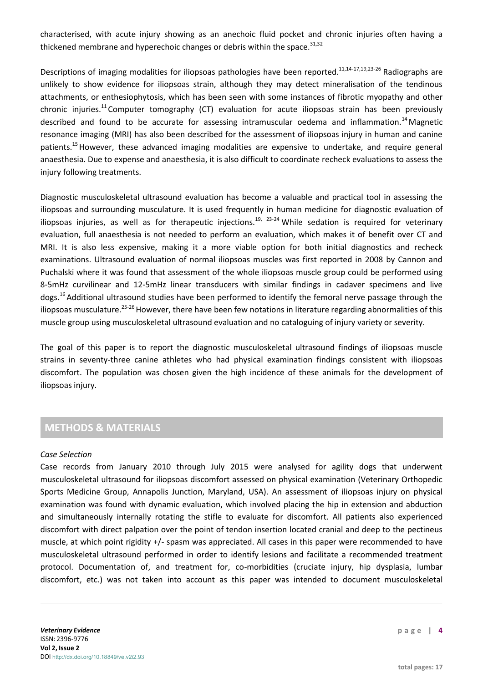characterised, with acute injury showing as an anechoic fluid pocket and chronic injuries often having a thickened membrane and hyperechoic changes or debris within the space.<sup>31,32</sup>

Descriptions of imaging modalities for iliopsoas pathologies have been reported.<sup>11,14-17,19,23-26</sup> Radiographs are unlikely to show evidence for iliopsoas strain, although they may detect mineralisation of the tendinous attachments, or enthesiophytosis, which has been seen with some instances of fibrotic myopathy and other chronic injuries.<sup>11</sup> Computer tomography (CT) evaluation for acute iliopsoas strain has been previously described and found to be accurate for assessing intramuscular oedema and inflammation.<sup>14</sup> Magnetic resonance imaging (MRI) has also been described for the assessment of iliopsoas injury in human and canine patients.<sup>15</sup> However, these advanced imaging modalities are expensive to undertake, and require general anaesthesia. Due to expense and anaesthesia, it is also difficult to coordinate recheck evaluations to assess the injury following treatments.

Diagnostic musculoskeletal ultrasound evaluation has become a valuable and practical tool in assessing the iliopsoas and surrounding musculature. It is used frequently in human medicine for diagnostic evaluation of iliopsoas injuries, as well as for therapeutic injections.<sup>19, 23-24</sup> While sedation is required for veterinary evaluation, full anaesthesia is not needed to perform an evaluation, which makes it of benefit over CT and MRI. It is also less expensive, making it a more viable option for both initial diagnostics and recheck examinations. Ultrasound evaluation of normal iliopsoas muscles was first reported in 2008 by Cannon and Puchalski where it was found that assessment of the whole iliopsoas muscle group could be performed using 8-5mHz curvilinear and 12-5mHz linear transducers with similar findings in cadaver specimens and live dogs.<sup>16</sup> Additional ultrasound studies have been performed to identify the femoral nerve passage through the iliopsoas musculature.<sup>25-26</sup> However, there have been few notations in literature regarding abnormalities of this muscle group using musculoskeletal ultrasound evaluation and no cataloguing of injury variety or severity.

The goal of this paper is to report the diagnostic musculoskeletal ultrasound findings of iliopsoas muscle strains in seventy-three canine athletes who had physical examination findings consistent with iliopsoas discomfort. The population was chosen given the high incidence of these animals for the development of iliopsoas injury.

# **METHODS & MATERIALS**

#### *Case Selection*

Case records from January 2010 through July 2015 were analysed for agility dogs that underwent musculoskeletal ultrasound for iliopsoas discomfort assessed on physical examination (Veterinary Orthopedic Sports Medicine Group, Annapolis Junction, Maryland, USA). An assessment of iliopsoas injury on physical examination was found with dynamic evaluation, which involved placing the hip in extension and abduction and simultaneously internally rotating the stifle to evaluate for discomfort. All patients also experienced discomfort with direct palpation over the point of tendon insertion located cranial and deep to the pectineus muscle, at which point rigidity +/- spasm was appreciated. All cases in this paper were recommended to have musculoskeletal ultrasound performed in order to identify lesions and facilitate a recommended treatment protocol. Documentation of, and treatment for, co-morbidities (cruciate injury, hip dysplasia, lumbar discomfort, etc.) was not taken into account as this paper was intended to document musculoskeletal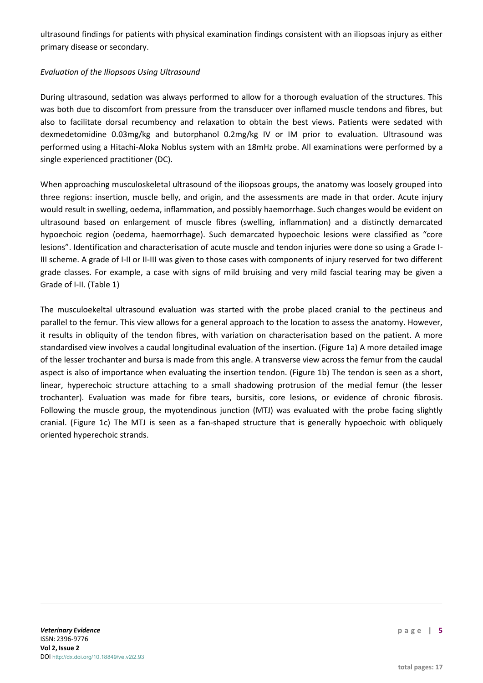ultrasound findings for patients with physical examination findings consistent with an iliopsoas injury as either primary disease or secondary.

## *Evaluation of the Iliopsoas Using Ultrasound*

During ultrasound, sedation was always performed to allow for a thorough evaluation of the structures. This was both due to discomfort from pressure from the transducer over inflamed muscle tendons and fibres, but also to facilitate dorsal recumbency and relaxation to obtain the best views. Patients were sedated with dexmedetomidine 0.03mg/kg and butorphanol 0.2mg/kg IV or IM prior to evaluation. Ultrasound was performed using a Hitachi-Aloka Noblus system with an 18mHz probe. All examinations were performed by a single experienced practitioner (DC).

When approaching musculoskeletal ultrasound of the iliopsoas groups, the anatomy was loosely grouped into three regions: insertion, muscle belly, and origin, and the assessments are made in that order. Acute injury would result in swelling, oedema, inflammation, and possibly haemorrhage. Such changes would be evident on ultrasound based on enlargement of muscle fibres (swelling, inflammation) and a distinctly demarcated hypoechoic region (oedema, haemorrhage). Such demarcated hypoechoic lesions were classified as "core lesions". Identification and characterisation of acute muscle and tendon injuries were done so using a Grade I-III scheme. A grade of I-II or II-III was given to those cases with components of injury reserved for two different grade classes. For example, a case with signs of mild bruising and very mild fascial tearing may be given a Grade of I-II. (Table 1)

The musculoekeltal ultrasound evaluation was started with the probe placed cranial to the pectineus and parallel to the femur. This view allows for a general approach to the location to assess the anatomy. However, it results in obliquity of the tendon fibres, with variation on characterisation based on the patient. A more standardised view involves a caudal longitudinal evaluation of the insertion. (Figure 1a) A more detailed image of the lesser trochanter and bursa is made from this angle. A transverse view across the femur from the caudal aspect is also of importance when evaluating the insertion tendon. (Figure 1b) The tendon is seen as a short, linear, hyperechoic structure attaching to a small shadowing protrusion of the medial femur (the lesser trochanter). Evaluation was made for fibre tears, bursitis, core lesions, or evidence of chronic fibrosis. Following the muscle group, the myotendinous junction (MTJ) was evaluated with the probe facing slightly cranial. (Figure 1c) The MTJ is seen as a fan-shaped structure that is generally hypoechoic with obliquely oriented hyperechoic strands.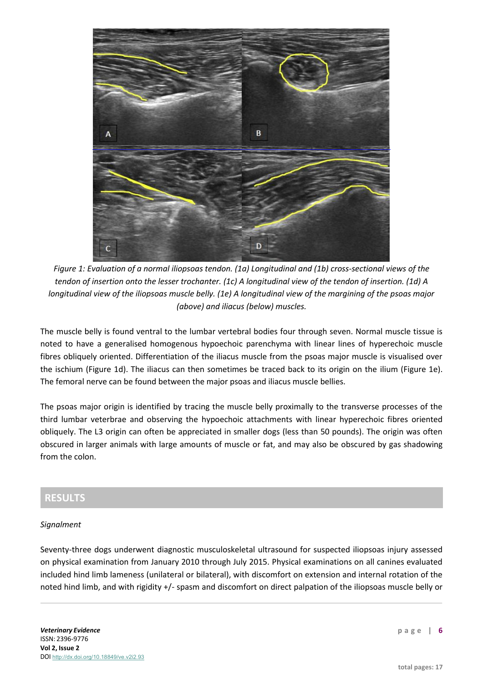

*Figure 1: Evaluation of a normal iliopsoas tendon. (1a) Longitudinal and (1b) cross-sectional views of the tendon of insertion onto the lesser trochanter. (1c) A longitudinal view of the tendon of insertion. (1d) A longitudinal view of the iliopsoas muscle belly. (1e) A longitudinal view of the margining of the psoas major (above) and iliacus (below) muscles.*

The muscle belly is found ventral to the lumbar vertebral bodies four through seven. Normal muscle tissue is noted to have a generalised homogenous hypoechoic parenchyma with linear lines of hyperechoic muscle fibres obliquely oriented. Differentiation of the iliacus muscle from the psoas major muscle is visualised over the ischium (Figure 1d). The iliacus can then sometimes be traced back to its origin on the ilium (Figure 1e). The femoral nerve can be found between the major psoas and iliacus muscle bellies.

The psoas major origin is identified by tracing the muscle belly proximally to the transverse processes of the third lumbar veterbrae and observing the hypoechoic attachments with linear hyperechoic fibres oriented obliquely. The L3 origin can often be appreciated in smaller dogs (less than 50 pounds). The origin was often obscured in larger animals with large amounts of muscle or fat, and may also be obscured by gas shadowing from the colon.

# **RESULTS**

## *Signalment*

Seventy-three dogs underwent diagnostic musculoskeletal ultrasound for suspected iliopsoas injury assessed on physical examination from January 2010 through July 2015. Physical examinations on all canines evaluated included hind limb lameness (unilateral or bilateral), with discomfort on extension and internal rotation of the noted hind limb, and with rigidity +/- spasm and discomfort on direct palpation of the iliopsoas muscle belly or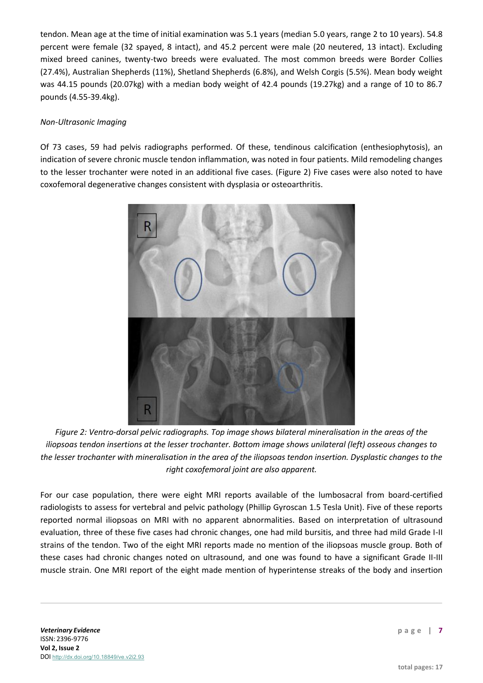tendon. Mean age at the time of initial examination was 5.1 years (median 5.0 years, range 2 to 10 years). 54.8 percent were female (32 spayed, 8 intact), and 45.2 percent were male (20 neutered, 13 intact). Excluding mixed breed canines, twenty-two breeds were evaluated. The most common breeds were Border Collies (27.4%), Australian Shepherds (11%), Shetland Shepherds (6.8%), and Welsh Corgis (5.5%). Mean body weight was 44.15 pounds (20.07kg) with a median body weight of 42.4 pounds (19.27kg) and a range of 10 to 86.7 pounds (4.55-39.4kg).

## *Non-Ultrasonic Imaging*

Of 73 cases, 59 had pelvis radiographs performed. Of these, tendinous calcification (enthesiophytosis), an indication of severe chronic muscle tendon inflammation, was noted in four patients. Mild remodeling changes to the lesser trochanter were noted in an additional five cases. (Figure 2) Five cases were also noted to have coxofemoral degenerative changes consistent with dysplasia or osteoarthritis.



*Figure 2: Ventro-dorsal pelvic radiographs. Top image shows bilateral mineralisation in the areas of the iliopsoas tendon insertions at the lesser trochanter. Bottom image shows unilateral (left) osseous changes to the lesser trochanter with mineralisation in the area of the iliopsoas tendon insertion. Dysplastic changes to the right coxofemoral joint are also apparent.*

For our case population, there were eight MRI reports available of the lumbosacral from board-certified radiologists to assess for vertebral and pelvic pathology (Phillip Gyroscan 1.5 Tesla Unit). Five of these reports reported normal iliopsoas on MRI with no apparent abnormalities. Based on interpretation of ultrasound evaluation, three of these five cases had chronic changes, one had mild bursitis, and three had mild Grade I-II strains of the tendon. Two of the eight MRI reports made no mention of the iliopsoas muscle group. Both of these cases had chronic changes noted on ultrasound, and one was found to have a significant Grade II-III muscle strain. One MRI report of the eight made mention of hyperintense streaks of the body and insertion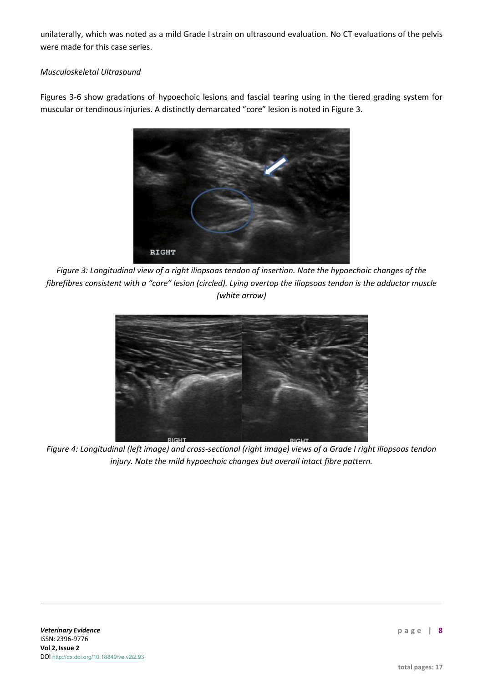unilaterally, which was noted as a mild Grade I strain on ultrasound evaluation. No CT evaluations of the pelvis were made for this case series.

# *Musculoskeletal Ultrasound*

Figures 3-6 show gradations of hypoechoic lesions and fascial tearing using in the tiered grading system for muscular or tendinous injuries. A distinctly demarcated "core" lesion is noted in Figure 3.



*Figure 3: Longitudinal view of a right iliopsoas tendon of insertion. Note the hypoechoic changes of the fibrefibres consistent with a "core" lesion (circled). Lying overtop the iliopsoas tendon is the adductor muscle (white arrow)*



*Figure 4: Longitudinal (left image) and cross-sectional (right image) views of a Grade I right iliopsoas tendon injury. Note the mild hypoechoic changes but overall intact fibre pattern.*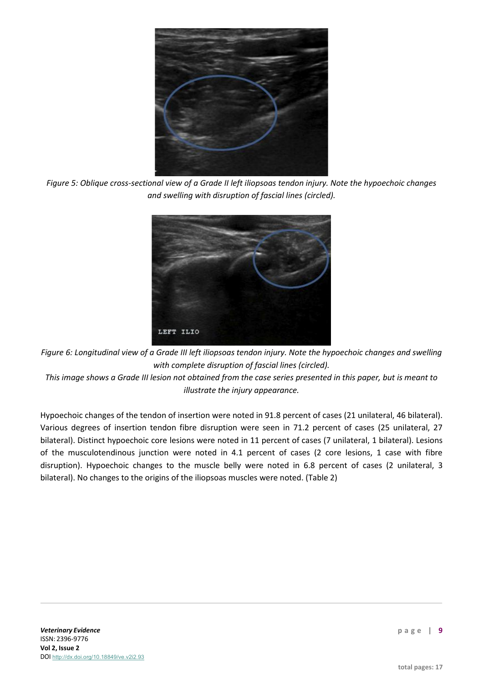

*Figure 5: Oblique cross-sectional view of a Grade II left iliopsoas tendon injury. Note the hypoechoic changes and swelling with disruption of fascial lines (circled).*



*Figure 6: Longitudinal view of a Grade III left iliopsoas tendon injury. Note the hypoechoic changes and swelling with complete disruption of fascial lines (circled).*

*This image shows a Grade III lesion not obtained from the case series presented in this paper, but is meant to illustrate the injury appearance.*

Hypoechoic changes of the tendon of insertion were noted in 91.8 percent of cases (21 unilateral, 46 bilateral). Various degrees of insertion tendon fibre disruption were seen in 71.2 percent of cases (25 unilateral, 27 bilateral). Distinct hypoechoic core lesions were noted in 11 percent of cases (7 unilateral, 1 bilateral). Lesions of the musculotendinous junction were noted in 4.1 percent of cases (2 core lesions, 1 case with fibre disruption). Hypoechoic changes to the muscle belly were noted in 6.8 percent of cases (2 unilateral, 3 bilateral). No changes to the origins of the iliopsoas muscles were noted. (Table 2)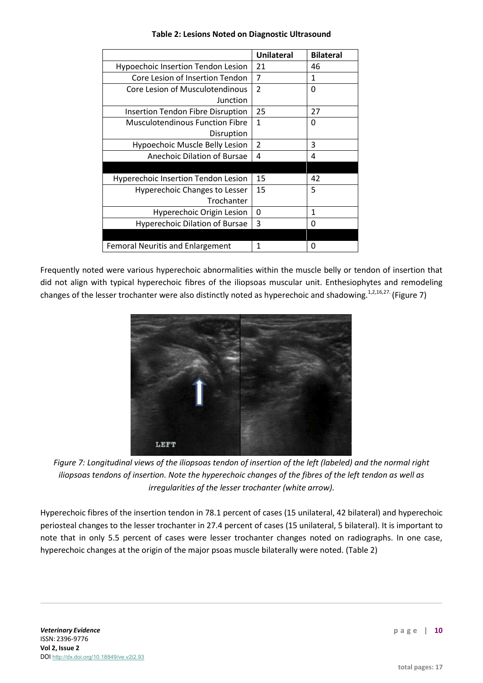|                                            | <b>Unilateral</b> | <b>Bilateral</b> |
|--------------------------------------------|-------------------|------------------|
| Hypoechoic Insertion Tendon Lesion         | 21                | 46               |
| Core Lesion of Insertion Tendon            | 7                 | 1                |
| Core Lesion of Musculotendinous            | $\overline{2}$    | 0                |
| Junction                                   |                   |                  |
| <b>Insertion Tendon Fibre Disruption</b>   | 25                | 27               |
| <b>Musculotendinous Function Fibre</b>     | 1                 | 0                |
| Disruption                                 |                   |                  |
| Hypoechoic Muscle Belly Lesion             | $\overline{2}$    | 3                |
| Anechoic Dilation of Bursae                | 4                 | 4                |
|                                            |                   |                  |
| <b>Hyperechoic Insertion Tendon Lesion</b> | 15                | 42               |
| Hyperechoic Changes to Lesser              | 15                | 5                |
| Trochanter                                 |                   |                  |
| Hyperechoic Origin Lesion                  | 0                 | 1                |
| <b>Hyperechoic Dilation of Bursae</b>      | 3                 | 0                |
|                                            |                   |                  |
| <b>Femoral Neuritis and Enlargement</b>    | 1                 | 0                |

## **Table 2: Lesions Noted on Diagnostic Ultrasound**

Frequently noted were various hyperechoic abnormalities within the muscle belly or tendon of insertion that did not align with typical hyperechoic fibres of the iliopsoas muscular unit. Enthesiophytes and remodeling changes of the lesser trochanter were also distinctly noted as hyperechoic and shadowing.<sup>1,2,16,27.</sup> (Figure 7)



*Figure 7: Longitudinal views of the iliopsoas tendon of insertion of the left (labeled) and the normal right iliopsoas tendons of insertion. Note the hyperechoic changes of the fibres of the left tendon as well as irregularities of the lesser trochanter (white arrow).*

Hyperechoic fibres of the insertion tendon in 78.1 percent of cases (15 unilateral, 42 bilateral) and hyperechoic periosteal changes to the lesser trochanter in 27.4 percent of cases (15 unilateral, 5 bilateral). It is important to note that in only 5.5 percent of cases were lesser trochanter changes noted on radiographs. In one case, hyperechoic changes at the origin of the major psoas muscle bilaterally were noted. (Table 2)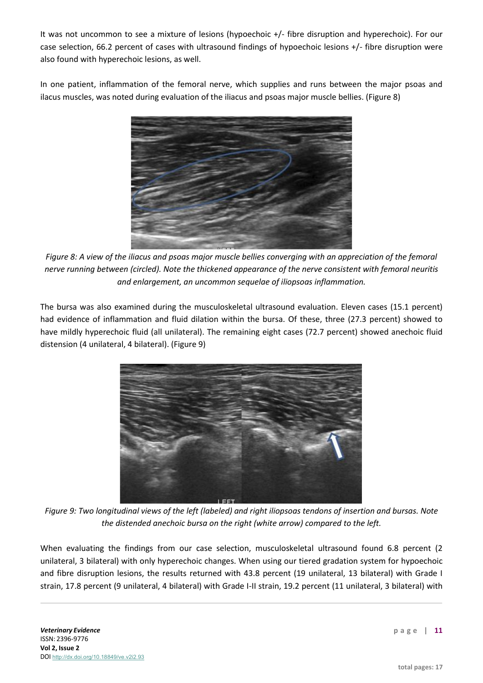It was not uncommon to see a mixture of lesions (hypoechoic +/- fibre disruption and hyperechoic). For our case selection, 66.2 percent of cases with ultrasound findings of hypoechoic lesions +/- fibre disruption were also found with hyperechoic lesions, as well.

In one patient, inflammation of the femoral nerve, which supplies and runs between the major psoas and ilacus muscles, was noted during evaluation of the iliacus and psoas major muscle bellies. (Figure 8)



*Figure 8: A view of the iliacus and psoas major muscle bellies converging with an appreciation of the femoral nerve running between (circled). Note the thickened appearance of the nerve consistent with femoral neuritis and enlargement, an uncommon sequelae of iliopsoas inflammation.*

The bursa was also examined during the musculoskeletal ultrasound evaluation. Eleven cases (15.1 percent) had evidence of inflammation and fluid dilation within the bursa. Of these, three (27.3 percent) showed to have mildly hyperechoic fluid (all unilateral). The remaining eight cases (72.7 percent) showed anechoic fluid distension (4 unilateral, 4 bilateral). (Figure 9)



*Figure 9: Two longitudinal views of the left (labeled) and right iliopsoas tendons of insertion and bursas. Note the distended anechoic bursa on the right (white arrow) compared to the left.*

When evaluating the findings from our case selection, musculoskeletal ultrasound found 6.8 percent (2 unilateral, 3 bilateral) with only hyperechoic changes. When using our tiered gradation system for hypoechoic and fibre disruption lesions, the results returned with 43.8 percent (19 unilateral, 13 bilateral) with Grade I strain, 17.8 percent (9 unilateral, 4 bilateral) with Grade I-II strain, 19.2 percent (11 unilateral, 3 bilateral) with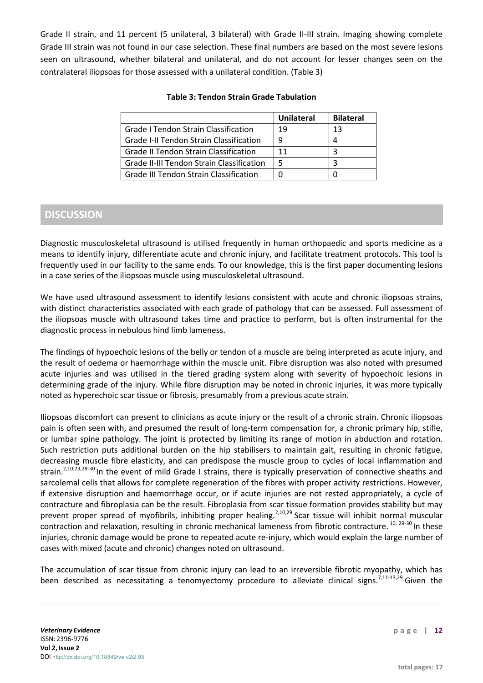Grade II strain, and 11 percent (5 unilateral, 3 bilateral) with Grade II-III strain. Imaging showing complete Grade III strain was not found in our case selection. These final numbers are based on the most severe lesions seen on ultrasound, whether bilateral and unilateral, and do not account for lesser changes seen on the contralateral iliopsoas for those assessed with a unilateral condition. (Table 3)

#### **Table 3: Tendon Strain Grade Tabulation**

|                                                | <b>Unilateral</b> | <b>Bilateral</b> |
|------------------------------------------------|-------------------|------------------|
| <b>Grade I Tendon Strain Classification</b>    | 19                | 13               |
| <b>Grade I-II Tendon Strain Classification</b> | q                 |                  |
| <b>Grade II Tendon Strain Classification</b>   | 11                |                  |
| Grade II-III Tendon Strain Classification      |                   |                  |
| Grade III Tendon Strain Classification         |                   |                  |

# **DISCUSSION**

Diagnostic musculoskeletal ultrasound is utilised frequently in human orthopaedic and sports medicine as a means to identify injury, differentiate acute and chronic injury, and facilitate treatment protocols. This tool is frequently used in our facility to the same ends. To our knowledge, this is the first paper documenting lesions in a case series of the iliopsoas muscle using musculoskeletal ultrasound.

We have used ultrasound assessment to identify lesions consistent with acute and chronic iliopsoas strains, with distinct characteristics associated with each grade of pathology that can be assessed. Full assessment of the iliopsoas muscle with ultrasound takes time and practice to perform, but is often instrumental for the diagnostic process in nebulous hind limb lameness.

The findings of hypoechoic lesions of the belly or tendon of a muscle are being interpreted as acute injury, and the result of oedema or haemorrhage within the muscle unit. Fibre disruption was also noted with presumed acute injuries and was utilised in the tiered grading system along with severity of hypoechoic lesions in determining grade of the injury. While fibre disruption may be noted in chronic injuries, it was more typically noted as hyperechoic scar tissue or fibrosis, presumably from a previous acute strain.

Iliopsoas discomfort can present to clinicians as acute injury or the result of a chronic strain. Chronic iliopsoas pain is often seen with, and presumed the result of long-term compensation for, a chronic primary hip, stifle, or lumbar spine pathology. The joint is protected by limiting its range of motion in abduction and rotation. Such restriction puts additional burden on the hip stabilisers to maintain gait, resulting in chronic fatigue, decreasing muscle fibre elasticity, and can predispose the muscle group to cycles of local inflammation and strain.<sup>2,10,23,28-30</sup> In the event of mild Grade I strains, there is typically preservation of connective sheaths and sarcolemal cells that allows for complete regeneration of the fibres with proper activity restrictions. However, if extensive disruption and haemorrhage occur, or if acute injuries are not rested appropriately, a cycle of contracture and fibroplasia can be the result. Fibroplasia from scar tissue formation provides stability but may prevent proper spread of myofibrils, inhibiting proper healing.<sup>2,10,29</sup> Scar tissue will inhibit normal muscular contraction and relaxation, resulting in chronic mechanical lameness from fibrotic contracture. <sup>10, 29-30</sup> In these injuries, chronic damage would be prone to repeated acute re-injury, which would explain the large number of cases with mixed (acute and chronic) changes noted on ultrasound.

The accumulation of scar tissue from chronic injury can lead to an irreversible fibrotic myopathy, which has been described as necessitating a tenomyectomy procedure to alleviate clinical signs.<sup>7,11-13,29</sup> Given the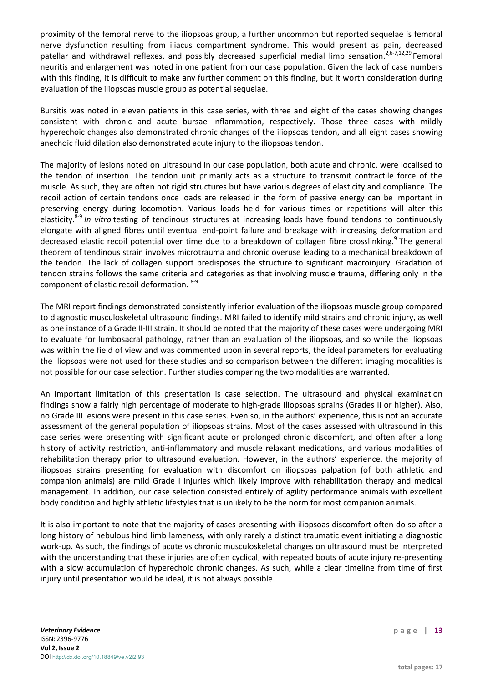proximity of the femoral nerve to the iliopsoas group, a further uncommon but reported sequelae is femoral nerve dysfunction resulting from iliacus compartment syndrome. This would present as pain, decreased patellar and withdrawal reflexes, and possibly decreased superficial medial limb sensation.<sup>2,6-7,12,29</sup> Femoral neuritis and enlargement was noted in one patient from our case population. Given the lack of case numbers with this finding, it is difficult to make any further comment on this finding, but it worth consideration during evaluation of the iliopsoas muscle group as potential sequelae.

Bursitis was noted in eleven patients in this case series, with three and eight of the cases showing changes consistent with chronic and acute bursae inflammation, respectively. Those three cases with mildly hyperechoic changes also demonstrated chronic changes of the iliopsoas tendon, and all eight cases showing anechoic fluid dilation also demonstrated acute injury to the iliopsoas tendon.

The majority of lesions noted on ultrasound in our case population, both acute and chronic, were localised to the tendon of insertion. The tendon unit primarily acts as a structure to transmit contractile force of the muscle. As such, they are often not rigid structures but have various degrees of elasticity and compliance. The recoil action of certain tendons once loads are released in the form of passive energy can be important in preserving energy during locomotion. Various loads held for various times or repetitions will alter this elasticity.8-9 *In vitro* testing of tendinous structures at increasing loads have found tendons to continuously elongate with aligned fibres until eventual end-point failure and breakage with increasing deformation and decreased elastic recoil potential over time due to a breakdown of collagen fibre crosslinking.<sup>9</sup> The general theorem of tendinous strain involves microtrauma and chronic overuse leading to a mechanical breakdown of the tendon. The lack of collagen support predisposes the structure to significant macroinjury. Gradation of tendon strains follows the same criteria and categories as that involving muscle trauma, differing only in the component of elastic recoil deformation. 8-9

The MRI report findings demonstrated consistently inferior evaluation of the iliopsoas muscle group compared to diagnostic musculoskeletal ultrasound findings. MRI failed to identify mild strains and chronic injury, as well as one instance of a Grade II-III strain. It should be noted that the majority of these cases were undergoing MRI to evaluate for lumbosacral pathology, rather than an evaluation of the iliopsoas, and so while the iliopsoas was within the field of view and was commented upon in several reports, the ideal parameters for evaluating the iliopsoas were not used for these studies and so comparison between the different imaging modalities is not possible for our case selection. Further studies comparing the two modalities are warranted.

An important limitation of this presentation is case selection. The ultrasound and physical examination findings show a fairly high percentage of moderate to high-grade iliopsoas sprains (Grades II or higher). Also, no Grade III lesions were present in this case series. Even so, in the authors' experience, this is not an accurate assessment of the general population of iliopsoas strains. Most of the cases assessed with ultrasound in this case series were presenting with significant acute or prolonged chronic discomfort, and often after a long history of activity restriction, anti-inflammatory and muscle relaxant medications, and various modalities of rehabilitation therapy prior to ultrasound evaluation. However, in the authors' experience, the majority of iliopsoas strains presenting for evaluation with discomfort on iliopsoas palpation (of both athletic and companion animals) are mild Grade I injuries which likely improve with rehabilitation therapy and medical management. In addition, our case selection consisted entirely of agility performance animals with excellent body condition and highly athletic lifestyles that is unlikely to be the norm for most companion animals.

It is also important to note that the majority of cases presenting with iliopsoas discomfort often do so after a long history of nebulous hind limb lameness, with only rarely a distinct traumatic event initiating a diagnostic work-up. As such, the findings of acute vs chronic musculoskeletal changes on ultrasound must be interpreted with the understanding that these injuries are often cyclical, with repeated bouts of acute injury re-presenting with a slow accumulation of hyperechoic chronic changes. As such, while a clear timeline from time of first injury until presentation would be ideal, it is not always possible.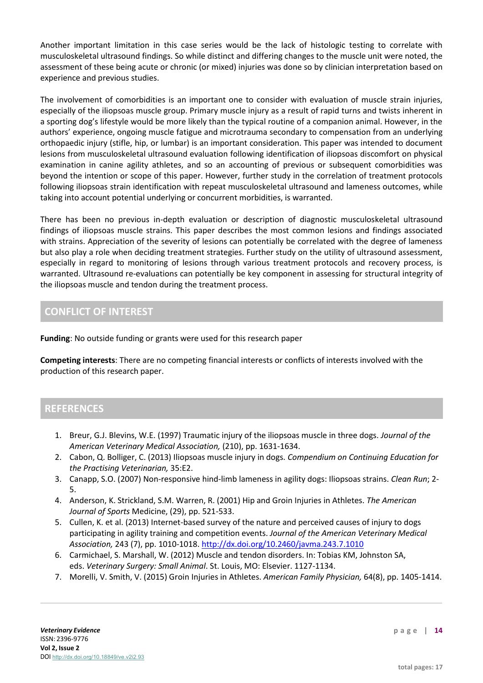Another important limitation in this case series would be the lack of histologic testing to correlate with musculoskeletal ultrasound findings. So while distinct and differing changes to the muscle unit were noted, the assessment of these being acute or chronic (or mixed) injuries was done so by clinician interpretation based on experience and previous studies.

The involvement of comorbidities is an important one to consider with evaluation of muscle strain injuries, especially of the iliopsoas muscle group. Primary muscle injury as a result of rapid turns and twists inherent in a sporting dog's lifestyle would be more likely than the typical routine of a companion animal. However, in the authors' experience, ongoing muscle fatigue and microtrauma secondary to compensation from an underlying orthopaedic injury (stifle, hip, or lumbar) is an important consideration. This paper was intended to document lesions from musculoskeletal ultrasound evaluation following identification of iliopsoas discomfort on physical examination in canine agility athletes, and so an accounting of previous or subsequent comorbidities was beyond the intention or scope of this paper. However, further study in the correlation of treatment protocols following iliopsoas strain identification with repeat musculoskeletal ultrasound and lameness outcomes, while taking into account potential underlying or concurrent morbidities, is warranted.

There has been no previous in-depth evaluation or description of diagnostic musculoskeletal ultrasound findings of iliopsoas muscle strains. This paper describes the most common lesions and findings associated with strains. Appreciation of the severity of lesions can potentially be correlated with the degree of lameness but also play a role when deciding treatment strategies. Further study on the utility of ultrasound assessment, especially in regard to monitoring of lesions through various treatment protocols and recovery process, is warranted. Ultrasound re-evaluations can potentially be key component in assessing for structural integrity of the iliopsoas muscle and tendon during the treatment process.

# **CONFLICT OF INTEREST**

**Funding**: No outside funding or grants were used for this research paper

**Competing interests**: There are no competing financial interests or conflicts of interests involved with the production of this research paper.

# **REFERENCES**

- 1. Breur, G.J. Blevins, W.E. (1997) Traumatic injury of the iliopsoas muscle in three dogs. *Journal of the American Veterinary Medical Association,* (210), pp. 1631-1634.
- 2. Cabon, Q. Bolliger, C. (2013) Iliopsoas muscle injury in dogs. *Compendium on Continuing Education for the Practising Veterinarian,* 35:E2.
- 3. Canapp, S.O. (2007) Non-responsive hind-limb lameness in agility dogs: Iliopsoas strains. *Clean Run*; 2- 5.
- 4. Anderson, K. Strickland, S.M. Warren, R. (2001) Hip and Groin Injuries in Athletes. *The American Journal of Sports* Medicine, (29), pp. 521-533.
- 5. Cullen, K. et al. (2013) Internet-based survey of the nature and perceived causes of injury to dogs participating in agility training and competition events. *Journal of the American Veterinary Medical Association,* 243 (7), pp. 1010-1018. <http://dx.doi.org/10.2460/javma.243.7.1010>
- 6. Carmichael, S. Marshall, W. (2012) Muscle and tendon disorders. In: Tobias KM, Johnston SA, eds. *Veterinary Surgery: Small Animal*. St. Louis, MO: Elsevier. 1127-1134.
- 7. Morelli, V. Smith, V. (2015) Groin Injuries in Athletes. *American Family Physician,* 64(8), pp. 1405-1414.

**page | 14**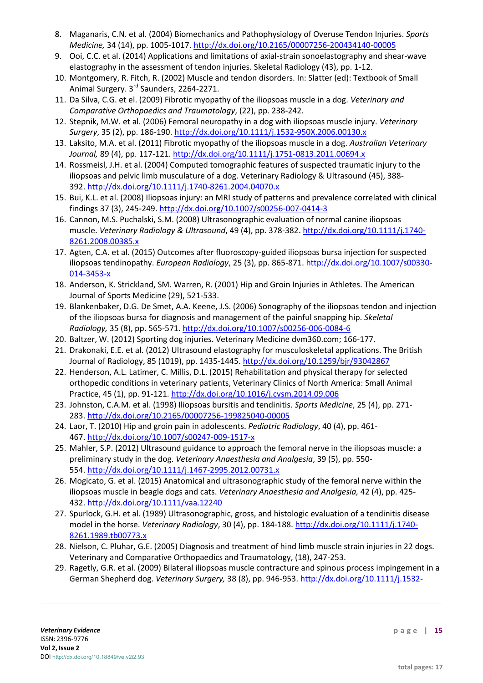- 8. Maganaris, C.N. et al. (2004) Biomechanics and Pathophysiology of Overuse Tendon Injuries. *Sports Medicine,* 34 (14), pp. 1005-1017. <http://dx.doi.org/10.2165/00007256-200434140-00005>
- 9. Ooi, C.C. et al. (2014) Applications and limitations of axial-strain sonoelastography and shear-wave elastography in the assessment of tendon injuries. Skeletal Radiology (43), pp. 1-12.
- 10. Montgomery, R. Fitch, R. (2002) Muscle and tendon disorders. In: Slatter (ed): Textbook of Small Animal Surgery. 3<sup>rd</sup> Saunders, 2264-2271.
- 11. Da Silva, C.G. et el. (2009) Fibrotic myopathy of the iliopsoas muscle in a dog. *Veterinary and Comparative Orthopaedics and Traumatology*, (22), pp. 238-242.
- 12. Stepnik, M.W. et al. (2006) Femoral neuropathy in a dog with iliopsoas muscle injury. *Veterinary Surgery*, 35 (2), pp. 186-190. <http://dx.doi.org/10.1111/j.1532-950X.2006.00130.x>
- 13. Laksito, M.A. et al. (2011) Fibrotic myopathy of the iliopsoas muscle in a dog. *Australian Veterinary Journal,* 89 (4), pp. 117-121. <http://dx.doi.org/10.1111/j.1751-0813.2011.00694.x>
- 14. Rossmeisl, J.H. et al. (2004) Computed tomographic features of suspected traumatic injury to the iliopsoas and pelvic limb musculature of a dog. Veterinary Radiology & Ultrasound (45), 388- 392. <http://dx.doi.org/10.1111/j.1740-8261.2004.04070.x>
- 15. Bui, K.L. et al. (2008) Iliopsoas injury: an MRI study of patterns and prevalence correlated with clinical findings 37 (3), 245-249. <http://dx.doi.org/10.1007/s00256-007-0414-3>
- 16. Cannon, M.S. Puchalski, S.M. (2008) Ultrasonographic evaluation of normal canine iliopsoas muscle. *Veterinary Radiology & Ultrasound*, 49 (4), pp. 378-382. [http://dx.doi.org/10.1111/j.1740-](http://dx.doi.org/10.1111/j.1740-8261.2008.00385.x) [8261.2008.00385.x](http://dx.doi.org/10.1111/j.1740-8261.2008.00385.x)
- 17. Agten, C.A. et al. (2015) Outcomes after fluoroscopy-guided iliopsoas bursa injection for suspected iliopsoas tendinopathy. *European Radiology*, 25 (3), pp. 865-871. [http://dx.doi.org/10.1007/s00330-](http://dx.doi.org/10.1007/s00330-014-3453-x) [014-3453-x](http://dx.doi.org/10.1007/s00330-014-3453-x)
- 18. Anderson, K. Strickland, SM. Warren, R. (2001) Hip and Groin Injuries in Athletes. The American Journal of Sports Medicine (29), 521-533.
- 19. Blankenbaker, D.G. De Smet, A.A. Keene, J.S. (2006) Sonography of the iliopsoas tendon and injection of the iliopsoas bursa for diagnosis and management of the painful snapping hip. *Skeletal Radiology,* 35 (8), pp. 565-571. <http://dx.doi.org/10.1007/s00256-006-0084-6>
- 20. Baltzer, W. (2012) Sporting dog injuries. Veterinary Medicine dvm360.com; 166-177.
- 21. Drakonaki, E.E. et al. (2012) Ultrasound elastography for musculoskeletal applications. The British Journal of Radiology, 85 (1019), pp. 1435-1445. <http://dx.doi.org/10.1259/bjr/93042867>
- 22. Henderson, A.L. Latimer, C. Millis, D.L. (2015) Rehabilitation and physical therapy for selected orthopedic conditions in veterinary patients, Veterinary Clinics of North America: Small Animal Practice, 45 (1), pp. 91-121. <http://dx.doi.org/10.1016/j.cvsm.2014.09.006>
- 23. Johnston, C.A.M. et al. (1998) Iliopsoas bursitis and tendinitis. *Sports Medicine*, 25 (4), pp. 271- 283. <http://dx.doi.org/10.2165/00007256-199825040-00005>
- 24. Laor, T. (2010) Hip and groin pain in adolescents. *Pediatric Radiology*, 40 (4), pp. 461- 467. <http://dx.doi.org/10.1007/s00247-009-1517-x>
- 25. Mahler, S.P. (2012) Ultrasound guidance to approach the femoral nerve in the iliopsoas muscle: a preliminary study in the dog. *Veterinary Anaesthesia and Analgesia*, 39 (5), pp. 550- 554. <http://dx.doi.org/10.1111/j.1467-2995.2012.00731.x>
- 26. Mogicato, G. et al. (2015) Anatomical and ultrasonographic study of the femoral nerve within the iliopsoas muscle in beagle dogs and cats. *Veterinary Anaesthesia and Analgesia,* 42 (4), pp. 425- 432. <http://dx.doi.org/10.1111/vaa.12240>
- 27. Spurlock, G.H. et al. (1989) Ultrasonographic, gross, and histologic evaluation of a tendinitis disease model in the horse. *Veterinary Radiology*, 30 (4), pp. 184-188. [http://dx.doi.org/10.1111/j.1740-](http://dx.doi.org/10.1111/j.1740-8261.1989.tb00773.x) [8261.1989.tb00773.x](http://dx.doi.org/10.1111/j.1740-8261.1989.tb00773.x)
- 28. Nielson, C. Pluhar, G.E. (2005) Diagnosis and treatment of hind limb muscle strain injuries in 22 dogs. Veterinary and Comparative Orthopaedics and Traumatology, (18), 247-253.
- 29. Ragetly, G.R. et al. (2009) Bilateral iliopsoas muscle contracture and spinous process impingement in a German Shepherd dog. *Veterinary Surgery,* 38 (8), pp. 946-953. [http://dx.doi.org/10.1111/j.1532-](http://dx.doi.org/10.1111/j.1532-950X.2009.00581.x)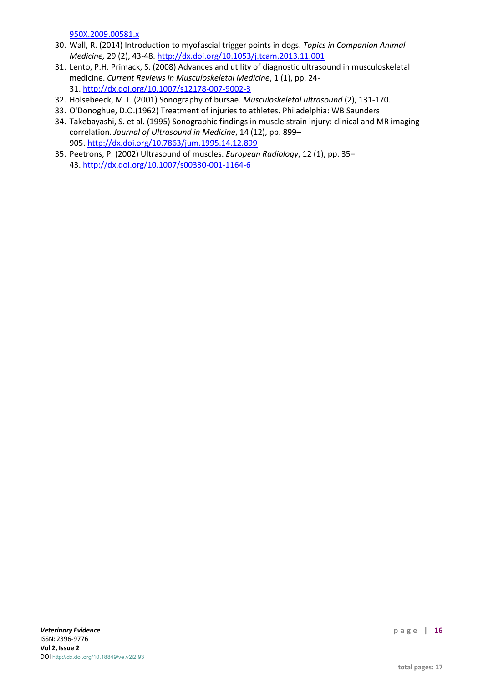950X.2009.00581.x

- 30. Wall, R. (2014) Introduction to myofascial trigger points in dogs. *Topics in Companion Animal Medicine,* 29 (2), 43-48. <http://dx.doi.org/10.1053/j.tcam.2013.11.001>
- 31. Lento, P.H. Primack, S. (2008) Advances and utility of diagnostic ultrasound in musculoskeletal medicine. *Current Reviews in Musculoskeletal Medicine*, 1 (1), pp. 24- 31. <http://dx.doi.org/10.1007/s12178-007-9002-3>
- 32. Holsebeeck, M.T. (2001) Sonography of bursae. *Musculoskeletal ultrasound* (2), 131-170.
- 33. O'Donoghue, D.O.(1962) Treatment of injuries to athletes. Philadelphia: WB Saunders
- 34. Takebayashi, S. et al. (1995) Sonographic findings in muscle strain injury: clinical and MR imaging correlation. *Journal of Ultrasound in Medicine*, 14 (12), pp. 899– 905. <http://dx.doi.org/10.7863/jum.1995.14.12.899>
- 35. Peetrons, P. (2002) Ultrasound of muscles. *European Radiology*, 12 (1), pp. 35– 43. <http://dx.doi.org/10.1007/s00330-001-1164-6>